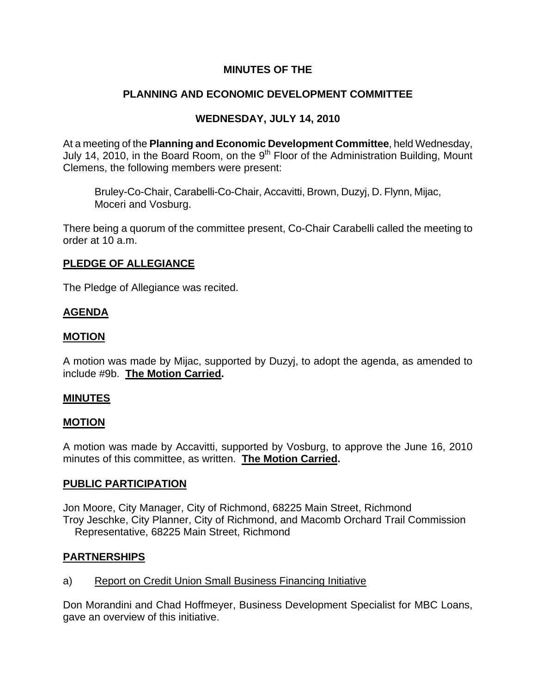# **MINUTES OF THE**

# **PLANNING AND ECONOMIC DEVELOPMENT COMMITTEE**

## **WEDNESDAY, JULY 14, 2010**

At a meeting of the **Planning and Economic Development Committee**, held Wednesday, July 14, 2010, in the Board Room, on the 9<sup>th</sup> Floor of the Administration Building, Mount Clemens, the following members were present:

Bruley-Co-Chair, Carabelli-Co-Chair, Accavitti, Brown, Duzyj, D. Flynn, Mijac, Moceri and Vosburg.

There being a quorum of the committee present, Co-Chair Carabelli called the meeting to order at 10 a.m.

#### **PLEDGE OF ALLEGIANCE**

The Pledge of Allegiance was recited.

## **AGENDA**

#### **MOTION**

A motion was made by Mijac, supported by Duzyj, to adopt the agenda, as amended to include #9b. **The Motion Carried.** 

#### **MINUTES**

#### **MOTION**

A motion was made by Accavitti, supported by Vosburg, to approve the June 16, 2010 minutes of this committee, as written. **The Motion Carried.** 

#### **PUBLIC PARTICIPATION**

Jon Moore, City Manager, City of Richmond, 68225 Main Street, Richmond Troy Jeschke, City Planner, City of Richmond, and Macomb Orchard Trail Commission Representative, 68225 Main Street, Richmond

## **PARTNERSHIPS**

a) Report on Credit Union Small Business Financing Initiative

Don Morandini and Chad Hoffmeyer, Business Development Specialist for MBC Loans, gave an overview of this initiative.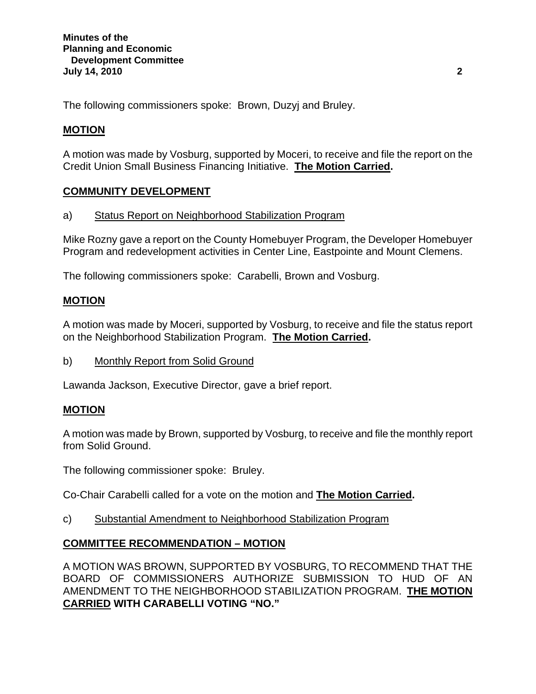The following commissioners spoke: Brown, Duzyj and Bruley.

# **MOTION**

A motion was made by Vosburg, supported by Moceri, to receive and file the report on the Credit Union Small Business Financing Initiative. **The Motion Carried.** 

# **COMMUNITY DEVELOPMENT**

## a) Status Report on Neighborhood Stabilization Program

Mike Rozny gave a report on the County Homebuyer Program, the Developer Homebuyer Program and redevelopment activities in Center Line, Eastpointe and Mount Clemens.

The following commissioners spoke: Carabelli, Brown and Vosburg.

## **MOTION**

A motion was made by Moceri, supported by Vosburg, to receive and file the status report on the Neighborhood Stabilization Program. **The Motion Carried.** 

b) Monthly Report from Solid Ground

Lawanda Jackson, Executive Director, gave a brief report.

## **MOTION**

A motion was made by Brown, supported by Vosburg, to receive and file the monthly report from Solid Ground.

The following commissioner spoke: Bruley.

Co-Chair Carabelli called for a vote on the motion and **The Motion Carried.**

c) Substantial Amendment to Neighborhood Stabilization Program

## **COMMITTEE RECOMMENDATION – MOTION**

A MOTION WAS BROWN, SUPPORTED BY VOSBURG, TO RECOMMEND THAT THE BOARD OF COMMISSIONERS AUTHORIZE SUBMISSION TO HUD OF AN AMENDMENT TO THE NEIGHBORHOOD STABILIZATION PROGRAM. **THE MOTION CARRIED WITH CARABELLI VOTING "NO."**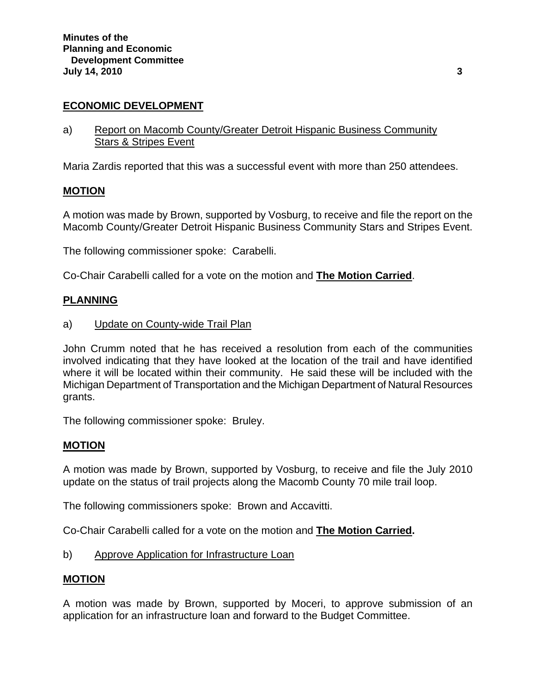## **ECONOMIC DEVELOPMENT**

a) Report on Macomb County/Greater Detroit Hispanic Business Community Stars & Stripes Event

Maria Zardis reported that this was a successful event with more than 250 attendees.

#### **MOTION**

A motion was made by Brown, supported by Vosburg, to receive and file the report on the Macomb County/Greater Detroit Hispanic Business Community Stars and Stripes Event.

The following commissioner spoke: Carabelli.

Co-Chair Carabelli called for a vote on the motion and **The Motion Carried**.

## **PLANNING**

#### a) Update on County-wide Trail Plan

John Crumm noted that he has received a resolution from each of the communities involved indicating that they have looked at the location of the trail and have identified where it will be located within their community. He said these will be included with the Michigan Department of Transportation and the Michigan Department of Natural Resources grants.

The following commissioner spoke: Bruley.

## **MOTION**

A motion was made by Brown, supported by Vosburg, to receive and file the July 2010 update on the status of trail projects along the Macomb County 70 mile trail loop.

The following commissioners spoke: Brown and Accavitti.

Co-Chair Carabelli called for a vote on the motion and **The Motion Carried.** 

b) Approve Application for Infrastructure Loan

#### **MOTION**

A motion was made by Brown, supported by Moceri, to approve submission of an application for an infrastructure loan and forward to the Budget Committee.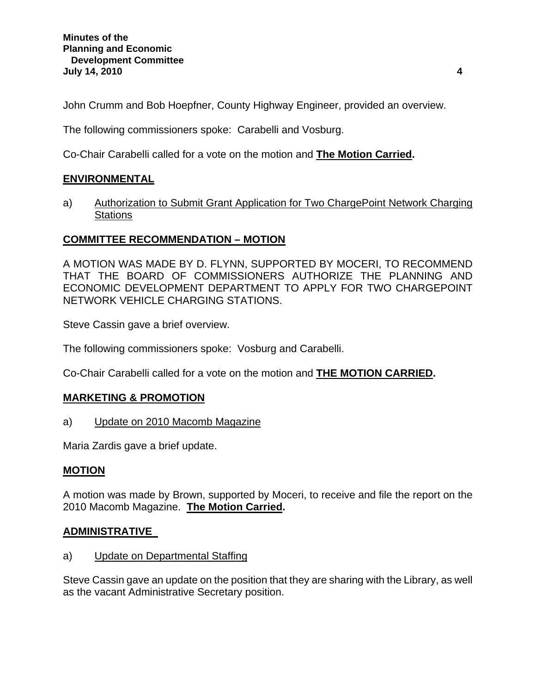John Crumm and Bob Hoepfner, County Highway Engineer, provided an overview.

The following commissioners spoke: Carabelli and Vosburg.

Co-Chair Carabelli called for a vote on the motion and **The Motion Carried.** 

## **ENVIRONMENTAL**

a) Authorization to Submit Grant Application for Two ChargePoint Network Charging **Stations** 

## **COMMITTEE RECOMMENDATION – MOTION**

A MOTION WAS MADE BY D. FLYNN, SUPPORTED BY MOCERI, TO RECOMMEND THAT THE BOARD OF COMMISSIONERS AUTHORIZE THE PLANNING AND ECONOMIC DEVELOPMENT DEPARTMENT TO APPLY FOR TWO CHARGEPOINT NETWORK VEHICLE CHARGING STATIONS.

Steve Cassin gave a brief overview.

The following commissioners spoke: Vosburg and Carabelli.

Co-Chair Carabelli called for a vote on the motion and **THE MOTION CARRIED.** 

## **MARKETING & PROMOTION**

a) Update on 2010 Macomb Magazine

Maria Zardis gave a brief update.

## **MOTION**

A motion was made by Brown, supported by Moceri, to receive and file the report on the 2010 Macomb Magazine. **The Motion Carried.** 

## **ADMINISTRATIVE**

a) Update on Departmental Staffing

Steve Cassin gave an update on the position that they are sharing with the Library, as well as the vacant Administrative Secretary position.